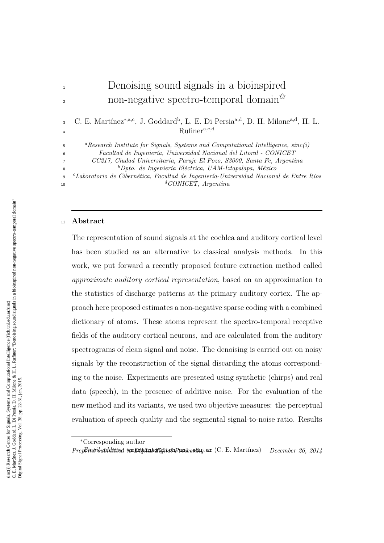# <sup>1</sup> Denoising sound signals in a bioinspired non-negative spectro-temporal domain<sup> $\hat{\mathbf{x}}$ </sup>

3 C. E. Martínez<sup>∗,a,c</sup>, J. Goddard<sup>b</sup>, L. E. Di Persia<sup>a,d</sup>, D. H. Milone<sup>a,d</sup>, H. L. Rufinera,c,d 4

<sup>a</sup>*Research Institute for Signals, Systems and Computational Intelligence, sinc(i)*

<sup>6</sup> *Facultad de Ingenier´ıa, Universidad Nacional del Litoral - CONICET*

<sup>7</sup> *CC217, Ciudad Universitaria, Paraje El Pozo, S3000, Santa Fe, Argentina*

<sup>b</sup>*Dpto. de Ingenier´ıa El´ectrica, UAM-Iztapalapa, M´exico*

c <sup>9</sup> *Laboratorio de Cibern´etica, Facultad de Ingenier´ıa-Universidad Nacional de Entre R´ıos* d <sup>10</sup> *CONICET, Argentina*

#### <sup>11</sup> Abstract

5

8

The representation of sound signals at the cochlea and auditory cortical level has been studied as an alternative to classical analysis methods. In this work, we put forward a recently proposed feature extraction method called approximate auditory cortical representation, based on an approximation to the statistics of discharge patterns at the primary auditory cortex. The approach here proposed estimates a non-negative sparse coding with a combined dictionary of atoms. These atoms represent the spectro-temporal receptive fields of the auditory cortical neurons, and are calculated from the auditory spectrograms of clean signal and noise. The denoising is carried out on noisy signals by the reconstruction of the signal discarding the atoms corresponding to the noise. Experiments are presented using synthetic (chirps) and real data (speech), in the presence of additive noise. For the evaluation of the new method and its variants, we used two objective measures: the perceptual evaluation of speech quality and the segmental signal-to-noise ratio. Results

<sup>∗</sup>Corresponding author

*PrepFint isubdditted to Digital Bighad Processing ar* (C. E. Martínez) *December 26, 2014*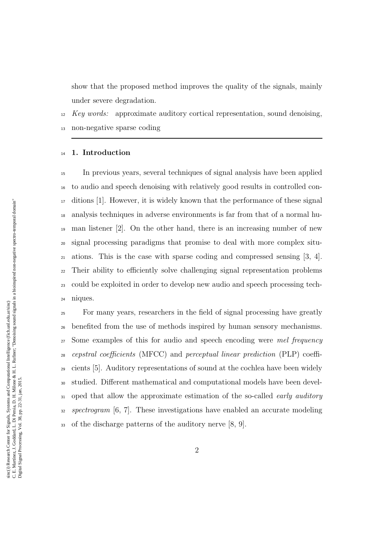show that the proposed method improves the quality of the signals, mainly under severe degradation.

Key words: approximate auditory cortical representation, sound denoising,

non-negative sparse coding

# 1. Introduction

 In previous years, several techniques of signal analysis have been applied to audio and speech denoising with relatively good results in controlled con- ditions [1]. However, it is widely known that the performance of these signal analysis techniques in adverse environments is far from that of a normal hu- man listener [2]. On the other hand, there is an increasing number of new signal processing paradigms that promise to deal with more complex situ- ations. This is the case with sparse coding and compressed sensing [3, 4]. Their ability to efficiently solve challenging signal representation problems could be exploited in order to develop new audio and speech processing tech-niques.

 For many years, researchers in the field of signal processing have greatly benefited from the use of methods inspired by human sensory mechanisms. <sub>27</sub> Some examples of this for audio and speech encoding were mel frequency cepstral coefficients (MFCC) and perceptual linear prediction (PLP) coeffi- cients [5]. Auditory representations of sound at the cochlea have been widely studied. Different mathematical and computational models have been devel-31 oped that allow the approximate estimation of the so-called early auditory spectrogram [6, 7]. These investigations have enabled an accurate modeling of the discharge patterns of the auditory nerve [8, 9].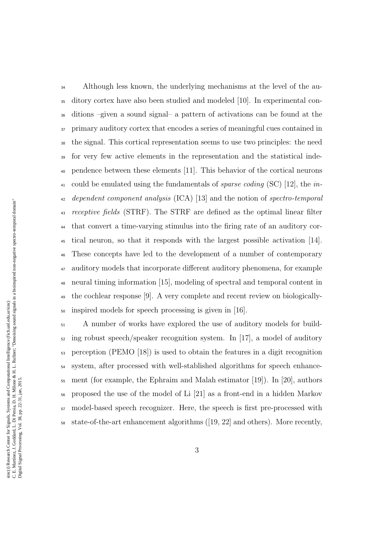<sup>34</sup> Although less known, the underlying mechanisms at the level of the au- ditory cortex have also been studied and modeled [10]. In experimental con- ditions –given a sound signal– a pattern of activations can be found at the primary auditory cortex that encodes a series of meaningful cues contained in the signal. This cortical representation seems to use two principles: the need for very few active elements in the representation and the statistical inde- pendence between these elements [11]. This behavior of the cortical neurons 41 could be emulated using the fundamentals of *sparse coding* (SC) [12], the *in*- dependent component analysis (ICA) [13] and the notion of spectro-temporal 43 receptive fields (STRF). The STRF are defined as the optimal linear filter that convert a time-varying stimulus into the firing rate of an auditory cor- tical neuron, so that it responds with the largest possible activation [14]. These concepts have led to the development of a number of contemporary auditory models that incorporate different auditory phenomena, for example neural timing information [15], modeling of spectral and temporal content in the cochlear response [9]. A very complete and recent review on biologically-inspired models for speech processing is given in [16].

 A number of works have explored the use of auditory models for build- $\frac{1}{2}$  ing robust speech/speaker recognition system. In [17], a model of auditory perception (PEMO [18]) is used to obtain the features in a digit recognition system, after processed with well-stablished algorithms for speech enhance- ment (for example, the Ephraim and Malah estimator [19]). In [20], authors proposed the use of the model of Li [21] as a front-end in a hidden Markov model-based speech recognizer. Here, the speech is first pre-processed with state-of-the-art enhancement algorithms ([19, 22] and others). More recently,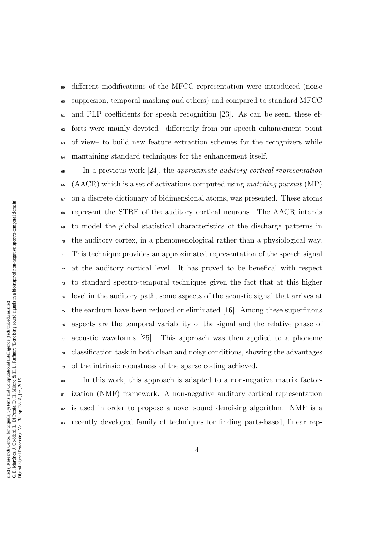different modifications of the MFCC representation were introduced (noise suppresion, temporal masking and others) and compared to standard MFCC and PLP coefficients for speech recognition [23]. As can be seen, these ef- $\epsilon_2$  forts were mainly devoted  $-differently$  from our speech enhancement point of view– to build new feature extraction schemes for the recognizers while mantaining standard techniques for the enhancement itself.

 $\epsilon_{\rm 5}$  In a previous work [24], the *approximate auditory cortical representation*  (AACR) which is a set of activations computed using matching pursuit (MP) on a discrete dictionary of bidimensional atoms, was presented. These atoms represent the STRF of the auditory cortical neurons. The AACR intends to model the global statistical characteristics of the discharge patterns in the auditory cortex, in a phenomenological rather than a physiological way.  $\pi$ <sup>1</sup> This technique provides an approximated representation of the speech signal at the auditory cortical level. It has proved to be benefical with respect to standard spectro-temporal techniques given the fact that at this higher level in the auditory path, some aspects of the acoustic signal that arrives at the eardrum have been reduced or eliminated [16]. Among these superfluous aspects are the temporal variability of the signal and the relative phase of acoustic waveforms [25]. This approach was then applied to a phoneme classification task in both clean and noisy conditions, showing the advantages of the intrinsic robustness of the sparse coding achieved.

 In this work, this approach is adapted to a non-negative matrix factor- ization (NMF) framework. A non-negative auditory cortical representation is used in order to propose a novel sound denoising algorithm. NMF is a recently developed family of techniques for finding parts-based, linear rep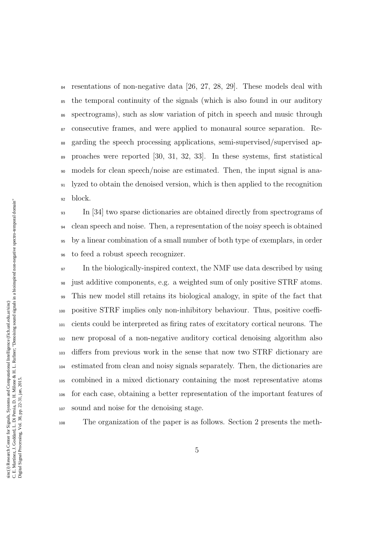resentations of non-negative data [26, 27, 28, 29]. These models deal with the temporal continuity of the signals (which is also found in our auditory spectrograms), such as slow variation of pitch in speech and music through consecutive frames, and were applied to monaural source separation. Re- garding the speech processing applications, semi-supervised/supervised ap- proaches were reported [30, 31, 32, 33]. In these systems, first statistical models for clean speech/noise are estimated. Then, the input signal is ana- lyzed to obtain the denoised version, which is then applied to the recognition block.

 In [34] two sparse dictionaries are obtained directly from spectrograms of clean speech and noise. Then, a representation of the noisy speech is obtained by a linear combination of a small number of both type of exemplars, in order to feed a robust speech recognizer.

 In the biologically-inspired context, the NMF use data described by using just additive components, e.g. a weighted sum of only positive STRF atoms. This new model still retains its biological analogy, in spite of the fact that positive STRF implies only non-inhibitory behaviour. Thus, positive coeffi- cients could be interpreted as firing rates of excitatory cortical neurons. The new proposal of a non-negative auditory cortical denoising algorithm also differs from previous work in the sense that now two STRF dictionary are estimated from clean and noisy signals separately. Then, the dictionaries are combined in a mixed dictionary containing the most representative atoms for each case, obtaining a better representation of the important features of sound and noise for the denoising stage.

The organization of the paper is as follows. Section 2 presents the meth-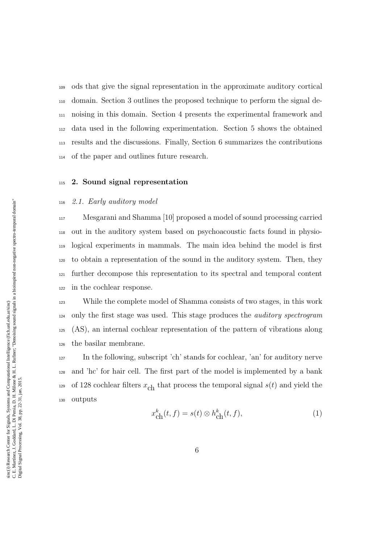ods that give the signal representation in the approximate auditory cortical domain. Section 3 outlines the proposed technique to perform the signal de- noising in this domain. Section 4 presents the experimental framework and data used in the following experimentation. Section 5 shows the obtained results and the discussions. Finally, Section 6 summarizes the contributions of the paper and outlines future research.

# 2. Sound signal representation

# 2.1. Early auditory model

 Mesgarani and Shamma [10] proposed a model of sound processing carried out in the auditory system based on psychoacoustic facts found in physio- logical experiments in mammals. The main idea behind the model is first to obtain a representation of the sound in the auditory system. Then, they further decompose this representation to its spectral and temporal content in the cochlear response.

 While the complete model of Shamma consists of two stages, in this work only the first stage was used. This stage produces the auditory spectrogram (AS), an internal cochlear representation of the pattern of vibrations along the basilar membrane.

 In the following, subscript 'ch' stands for cochlear, 'an' for auditory nerve and 'hc' for hair cell. The first part of the model is implemented by a bank <sup>129</sup> of 128 cochlear filters  $x_{ch}$  that process the temporal signal  $s(t)$  and yield the outputs

$$
x_{\text{ch}}^k(t,f) = s(t) \otimes h_{\text{ch}}^k(t,f),\tag{1}
$$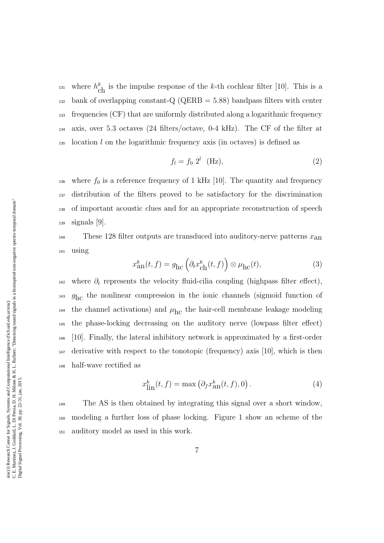<sup>131</sup> where  $h_{\text{ch}}^k$  is the impulse response of the k-th cochlear filter [10]. This is a  $_{132}$  bank of overlapping constant-Q (QERB = 5.88) bandpass filters with center <sup>133</sup> frequencies (CF) that are uniformly distributed along a logarithmic frequency <sup>134</sup> axis, over 5.3 octaves (24 filters/octave, 0-4 kHz). The CF of the filter at 135 location l on the logarithmic frequency axis (in octaves) is defined as

$$
f_l = f_0 \ 2^l \quad \text{(Hz)},\tag{2}
$$

136 where  $f_0$  is a reference frequency of 1 kHz [10]. The quantity and frequency distribution of the filters proved to be satisfactory for the discrimination of important acoustic clues and for an appropriate reconstruction of speech signals [9].

<sup>140</sup> These 128 filter outputs are transduced into auditory-nerve patterns  $x_{an}$ <sup>141</sup> using

$$
x_{\rm an}^k(t,f) = g_{\rm hc} \left( \partial_t x_{\rm ch}^k(t,f) \right) \otimes \mu_{\rm hc}(t),\tag{3}
$$

 $_{142}$  where  $\partial_t$  represents the velocity fluid-cilia coupling (highpass filter effect),  $g_{\text{hc}}$  the nonlinear compression in the ionic channels (sigmoid function of the channel activations) and  $\mu_{\text{hc}}$  the hair-cell membrane leakage modeling <sup>145</sup> the phase-locking decreasing on the auditory nerve (lowpass filter effect) <sup>146</sup> [10]. Finally, the lateral inhibitory network is approximated by a first-order <sup>147</sup> derivative with respect to the tonotopic (frequency) axis [10], which is then <sup>148</sup> half-wave rectified as

$$
x_{\text{lin}}^k(t,f) = \max\left(\partial_f x_{\text{an}}^k(t,f),0\right). \tag{4}
$$

<sup>149</sup> The AS is then obtained by integrating this signal over a short window, <sup>150</sup> modeling a further loss of phase locking. Figure 1 show an scheme of the <sup>151</sup> auditory model as used in this work.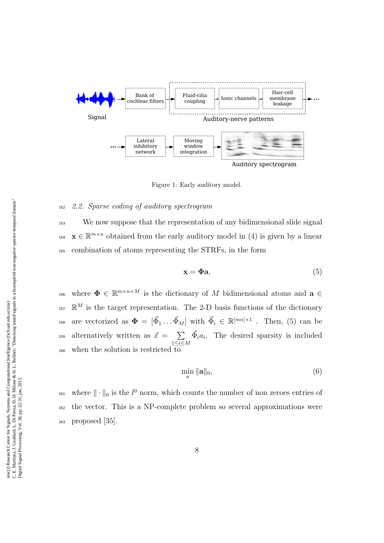

Figure 1: Early auditory model.

#### <sup>152</sup> 2.2. Sparse coding of auditory spectrogram

<sup>153</sup> We now suppose that the representation of any bidimensional slide signal <sup>154</sup>  $\mathbf{x} \in \mathbb{R}^{m \times n}$  obtained from the early auditory model in (4) is given by a linear <sup>155</sup> combination of atoms representing the STRFs, in the form

$$
\mathbf{x} = \mathbf{\Phi}\mathbf{a},\tag{5}
$$

<sup>156</sup> where  $\Phi \in \mathbb{R}^{m \times n \times M}$  is the dictionary of M bidimensional atoms and  $\mathbf{a} \in$  $\mathbb{R}^M$  is the target representation. The 2-D basis functions of the dictionary <sup>158</sup> are vectorized as  $\mathbf{\Phi} = [\vec{\Phi}_1 \dots \vec{\Phi}_M]$  with  $\vec{\Phi}_i \in \mathbb{R}^{[mn] \times 1}$ . Then, (5) can be alternatively written as  $\vec{x} = \sum$  $1\leq i \leq M$ <sup>159</sup> alternatively written as  $\vec{x} = \sum \vec{\Phi}_i a_i$ . The desired sparsity is included  $_{160}$  when the solution is restricted to

$$
\min_{a} \|\mathbf{a}\|_{0},\tag{6}
$$

<sup>161</sup> where  $\|\cdot\|_0$  is the  $l^0$  norm, which counts the number of non zeroes entries of <sup>162</sup> the vector. This is a NP-complete problem so several approximations were <sup>163</sup> proposed [35].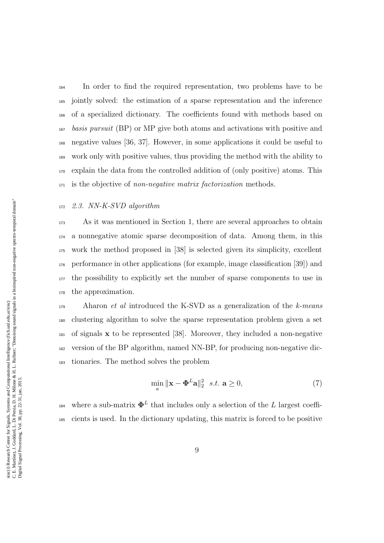In order to find the required representation, two problems have to be jointly solved: the estimation of a sparse representation and the inference of a specialized dictionary. The coefficients found with methods based on basis pursuit (BP) or MP give both atoms and activations with positive and negative values [36, 37]. However, in some applications it could be useful to work only with positive values, thus providing the method with the ability to explain the data from the controlled addition of (only positive) atoms. This 171 is the objective of non-negative matrix factorization methods.

# 2.3. NN-K-SVD algorithm

 As it was mentioned in Section 1, there are several approaches to obtain a nonnegative atomic sparse decomposition of data. Among them, in this work the method proposed in [38] is selected given its simplicity, excellent performance in other applications (for example, image classification [39]) and the possibility to explicitly set the number of sparse components to use in the approximation.

 Aharon *et al* introduced the K-SVD as a generalization of the k-means clustering algorithm to solve the sparse representation problem given a set  $_{181}$  of signals x to be represented [38]. Moreover, they included a non-negative version of the BP algorithm, named NN-BP, for producing non-negative dic-tionaries. The method solves the problem

$$
\min_{a} \|\mathbf{x} - \mathbf{\Phi}^{L}\mathbf{a}\|_{2}^{2} \quad s.t. \quad \mathbf{a} \ge 0,
$$
\n<sup>(7)</sup>

<sup>184</sup> where a sub-matrix  $\mathbf{\Phi}^{L}$  that includes only a selection of the L largest coeffi-cients is used. In the dictionary updating, this matrix is forced to be positive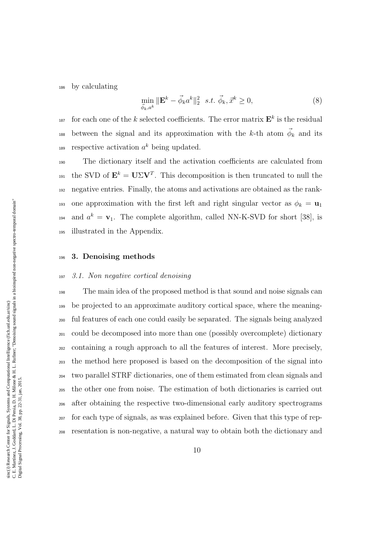<sup>186</sup> by calculating

$$
\min_{\vec{\phi}_k, a^k} \|\mathbf{E}^k - \vec{\phi}_k a^k\|_2^2 \quad s.t. \quad \vec{\phi}_k, \vec{x}^k \ge 0,
$$
\n
$$
(8)
$$

<sup>187</sup> for each one of the k selected coefficients. The error matrix  $\mathbf{E}^k$  is the residual <sup>188</sup> between the signal and its approximation with the k-th atom  $\vec{\phi}_k$  and its 189 respective activation  $a^k$  being updated.

<sup>190</sup> The dictionary itself and the activation coefficients are calculated from 191 the SVD of  $\mathbf{E}^k = \mathbf{U} \Sigma \mathbf{V}^T$ . This decomposition is then truncated to null the <sup>192</sup> negative entries. Finally, the atoms and activations are obtained as the rank-193 one approximation with the first left and right singular vector as  $\phi_k = \mathbf{u}_1$ <sup>194</sup> and  $a^k = \mathbf{v}_1$ . The complete algorithm, called NN-K-SVD for short [38], is <sup>195</sup> illustrated in the Appendix.

#### <sup>196</sup> 3. Denoising methods

#### <sup>197</sup> 3.1. Non negative cortical denoising

 The main idea of the proposed method is that sound and noise signals can be projected to an approximate auditory cortical space, where the meaning- ful features of each one could easily be separated. The signals being analyzed could be decomposed into more than one (possibly overcomplete) dictionary containing a rough approach to all the features of interest. More precisely, the method here proposed is based on the decomposition of the signal into two parallel STRF dictionaries, one of them estimated from clean signals and the other one from noise. The estimation of both dictionaries is carried out after obtaining the respective two-dimensional early auditory spectrograms for each type of signals, as was explained before. Given that this type of rep-resentation is non-negative, a natural way to obtain both the dictionary and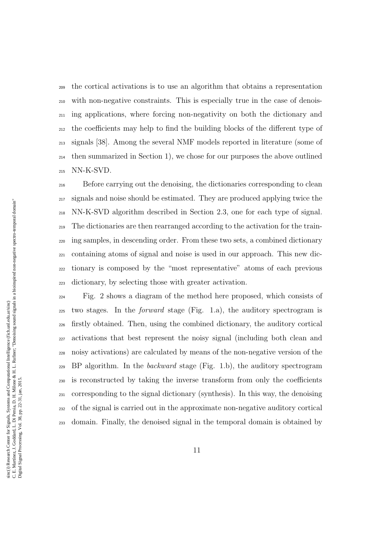the cortical activations is to use an algorithm that obtains a representation with non-negative constraints. This is especially true in the case of denois- ing applications, where forcing non-negativity on both the dictionary and the coefficients may help to find the building blocks of the different type of signals [38]. Among the several NMF models reported in literature (some of  $_{214}$  then summarized in Section 1), we chose for our purposes the above outlined NN-K-SVD.

 Before carrying out the denoising, the dictionaries corresponding to clean signals and noise should be estimated. They are produced applying twice the NN-K-SVD algorithm described in Section 2.3, one for each type of signal. The dictionaries are then rearranged according to the activation for the train- ing samples, in descending order. From these two sets, a combined dictionary containing atoms of signal and noise is used in our approach. This new dic- tionary is composed by the "most representative" atoms of each previous dictionary, by selecting those with greater activation.

 Fig. 2 shows a diagram of the method here proposed, which consists of two stages. In the *forward* stage (Fig. 1.a), the auditory spectrogram is firstly obtained. Then, using the combined dictionary, the auditory cortical activations that best represent the noisy signal (including both clean and noisy activations) are calculated by means of the non-negative version of the BP algorithm. In the *backward* stage (Fig. 1.b), the auditory spectrogram is reconstructed by taking the inverse transform from only the coefficients corresponding to the signal dictionary (synthesis). In this way, the denoising of the signal is carried out in the approximate non-negative auditory cortical domain. Finally, the denoised signal in the temporal domain is obtained by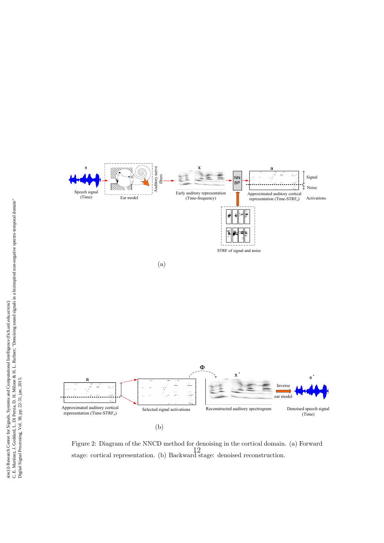

Figure 2: Diagram of the NNCD method for denoising in the cortical domain. (a) Forward stage: cortical representation. (b) Backward stage: denoised reconstruction. 12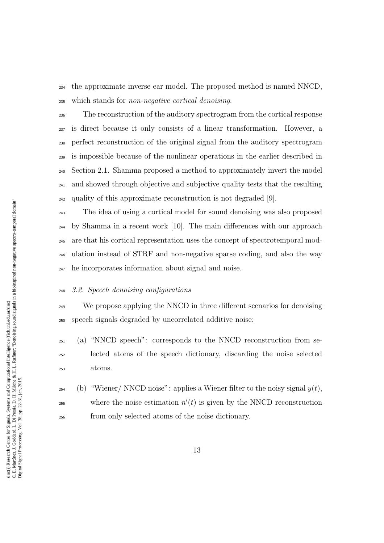the approximate inverse ear model. The proposed method is named NNCD, which stands for non-negative cortical denoising.

 The reconstruction of the auditory spectrogram from the cortical response is direct because it only consists of a linear transformation. However, a perfect reconstruction of the original signal from the auditory spectrogram is impossible because of the nonlinear operations in the earlier described in Section 2.1. Shamma proposed a method to approximately invert the model and showed through objective and subjective quality tests that the resulting quality of this approximate reconstruction is not degraded [9].

 The idea of using a cortical model for sound denoising was also proposed by Shamma in a recent work [10]. The main differences with our approach are that his cortical representation uses the concept of spectrotemporal mod- ulation instead of STRF and non-negative sparse coding, and also the way he incorporates information about signal and noise.

## 3.2. Speech denoising configurations

<sup>249</sup> We propose applying the NNCD in three different scenarios for denoising speech signals degraded by uncorrelated additive noise:

 (a) "NNCD speech": corresponds to the NNCD reconstruction from se- lected atoms of the speech dictionary, discarding the noise selected atoms.

<sup>254</sup> (b) "Wiener/ NNCD noise": applies a Wiener filter to the noisy signal  $y(t)$ ,  $\omega_{255}$  where the noise estimation  $n'(t)$  is given by the NNCD reconstruction from only selected atoms of the noise dictionary.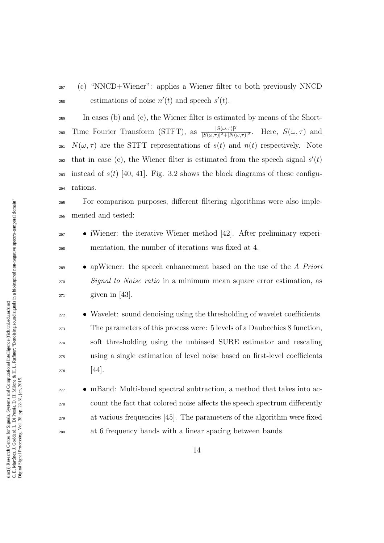<sup>257</sup> (c) "NNCD+Wiener": applies a Wiener filter to both previously NNCD <sup>258</sup> estimations of noise  $n'(t)$  and speech  $s'(t)$ .

<sup>259</sup> In cases (b) and (c), the Wiener filter is estimated by means of the Short-Time Fourier Transform (STFT), as  $\frac{|S(\omega,\tau)|^2}{|S(\omega,\tau)|^2+|N(\tau)|^2}$ 260 Time Fourier Transform (STFT), as  $\frac{|S(\omega,\tau)|^2}{|S(\omega,\tau)|^2+|N(\omega,\tau)|^2}$ . Here,  $S(\omega,\tau)$  and 261  $N(\omega, \tau)$  are the STFT representations of  $s(t)$  and  $n(t)$  respectively. Note  $_{262}$  that in case (c), the Wiener filter is estimated from the speech signal  $s'(t)$ 263 instead of  $s(t)$  [40, 41]. Fig. 3.2 shows the block diagrams of these configu-<sup>264</sup> rations.

<sup>265</sup> For comparison purposes, different filtering algorithms were also imple-<sup>266</sup> mented and tested:

- $\bullet$  iWiener: the iterative Wiener method [42]. After preliminary experi-<sup>268</sup> mentation, the number of iterations was fixed at 4.
- $\bullet$  apWiener: the speech enhancement based on the use of the A Priori <sup>270</sup> Signal to Noise ratio in a minimum mean square error estimation, as  $_{271}$  given in [43].
- <sup>272</sup> Wavelet: sound denoising using the thresholding of wavelet coefficients. <sup>273</sup> The parameters of this process were: 5 levels of a Daubechies 8 function, <sup>274</sup> soft thresholding using the unbiased SURE estimator and rescaling <sup>275</sup> using a single estimation of level noise based on first-level coefficients  $276$  [44].
- $\bullet$  mBand: Multi-band spectral subtraction, a method that takes into ac-<sup>278</sup> count the fact that colored noise affects the speech spectrum differently <sup>279</sup> at various frequencies [45]. The parameters of the algorithm were fixed <sup>280</sup> at 6 frequency bands with a linear spacing between bands.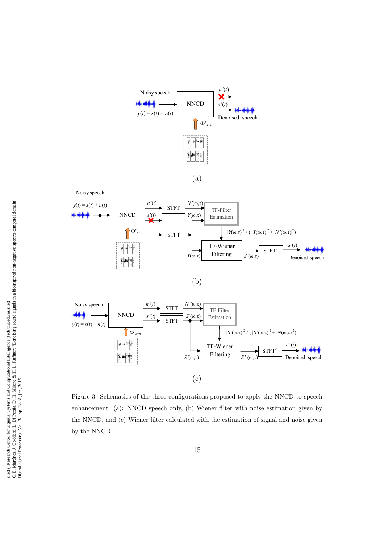

Noisy speech







ration % oposed to apply the NNCD to  $\frac{1}{2}$ - enhancement: (a): NNCD speech only, (b) Wiener filter with noise estimation given by the NNCD, and (c) Wiener filter calculated with the estimation of signal and noise given Figure 3: Schematics of the three configurations proposed to apply the NNCD to speech by the NNCD.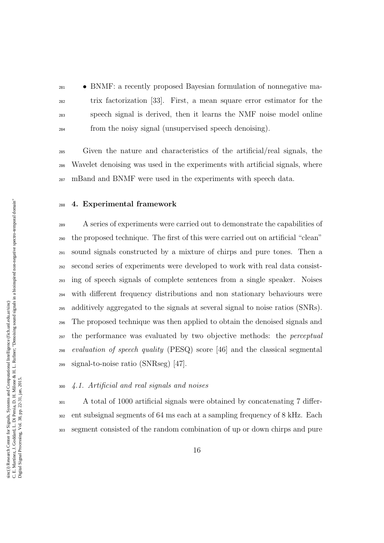• BNMF: a recently proposed Bayesian formulation of nonnegative ma- trix factorization [33]. First, a mean square error estimator for the speech signal is derived, then it learns the NMF noise model online from the noisy signal (unsupervised speech denoising).

 Given the nature and characteristics of the artificial/real signals, the Wavelet denoising was used in the experiments with artificial signals, where mBand and BNMF were used in the experiments with speech data.

# 4. Experimental framework

 A series of experiments were carried out to demonstrate the capabilities of the proposed technique. The first of this were carried out on artificial "clean" sound signals constructed by a mixture of chirps and pure tones. Then a second series of experiments were developed to work with real data consist- ing of speech signals of complete sentences from a single speaker. Noises with different frequency distributions and non stationary behaviours were additively aggregated to the signals at several signal to noise ratios (SNRs). The proposed technique was then applied to obtain the denoised signals and <sup>297</sup> the performance was evaluated by two objective methods: the *perceptual*  evaluation of speech quality (PESQ) score [46] and the classical segmental signal-to-noise ratio (SNRseg) [47].

# 4.1. Artificial and real signals and noises

 A total of 1000 artificial signals were obtained by concatenating 7 differ- ent subsignal segments of 64 ms each at a sampling frequency of 8 kHz. Each segment consisted of the random combination of up or down chirps and pure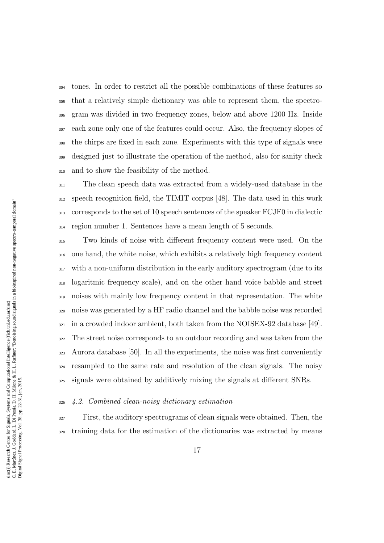tones. In order to restrict all the possible combinations of these features so that a relatively simple dictionary was able to represent them, the spectro- gram was divided in two frequency zones, below and above 1200 Hz. Inside each zone only one of the features could occur. Also, the frequency slopes of the chirps are fixed in each zone. Experiments with this type of signals were designed just to illustrate the operation of the method, also for sanity check and to show the feasibility of the method.

 The clean speech data was extracted from a widely-used database in the speech recognition field, the TIMIT corpus [48]. The data used in this work corresponds to the set of 10 speech sentences of the speaker FCJF0 in dialectic region number 1. Sentences have a mean length of 5 seconds.

 Two kinds of noise with different frequency content were used. On the one hand, the white noise, which exhibits a relatively high frequency content with a non-uniform distribution in the early auditory spectrogram (due to its logaritmic frequency scale), and on the other hand voice babble and street noises with mainly low frequency content in that representation. The white noise was generated by a HF radio channel and the babble noise was recorded  $_{321}$  in a crowded indoor ambient, both taken from the NOISEX-92 database [49]. The street noise corresponds to an outdoor recording and was taken from the Aurora database [50]. In all the experiments, the noise was first conveniently resampled to the same rate and resolution of the clean signals. The noisy signals were obtained by additively mixing the signals at different SNRs.

#### 4.2. Combined clean-noisy dictionary estimation

 First, the auditory spectrograms of clean signals were obtained. Then, the training data for the estimation of the dictionaries was extracted by means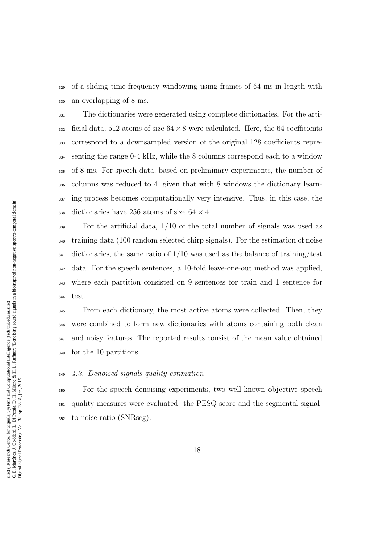of a sliding time-frequency windowing using frames of 64 ms in length with an overlapping of 8 ms.

 The dictionaries were generated using complete dictionaries. For the arti- ficial data, 512 atoms of size  $64 \times 8$  were calculated. Here, the 64 coefficients correspond to a downsampled version of the original 128 coefficients repre- senting the range 0-4 kHz, while the 8 columns correspond each to a window of 8 ms. For speech data, based on preliminary experiments, the number of columns was reduced to 4, given that with 8 windows the dictionary learn- ing process becomes computationally very intensive. Thus, in this case, the 338 dictionaries have 256 atoms of size  $64 \times 4$ .

 For the artificial data, 1/10 of the total number of signals was used as training data (100 random selected chirp signals). For the estimation of noise  $_{341}$  dictionaries, the same ratio of  $1/10$  was used as the balance of training/test data. For the speech sentences, a 10-fold leave-one-out method was applied, where each partition consisted on 9 sentences for train and 1 sentence for test.

<sup>345</sup> From each dictionary, the most active atoms were collected. Then, they were combined to form new dictionaries with atoms containing both clean and noisy features. The reported results consist of the mean value obtained for the 10 partitions.

#### 4.3. Denoised signals quality estimation

 For the speech denoising experiments, two well-known objective speech quality measures were evaluated: the PESQ score and the segmental signal-to-noise ratio (SNRseg).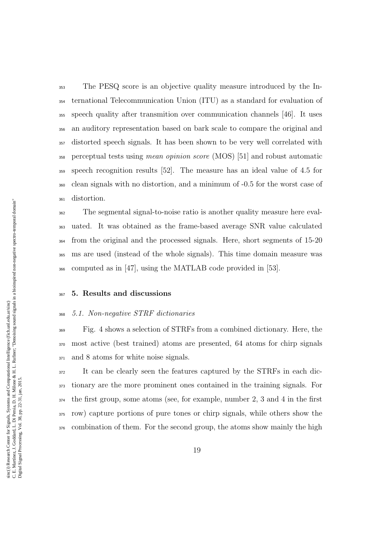The PESQ score is an objective quality measure introduced by the In- ternational Telecommunication Union (ITU) as a standard for evaluation of speech quality after transmition over communication channels [46]. It uses an auditory representation based on bark scale to compare the original and distorted speech signals. It has been shown to be very well correlated with perceptual tests using mean opinion score (MOS) [51] and robust automatic speech recognition results [52]. The measure has an ideal value of 4.5 for clean signals with no distortion, and a minimum of -0.5 for the worst case of distortion.

 The segmental signal-to-noise ratio is another quality measure here eval- uated. It was obtained as the frame-based average SNR value calculated from the original and the processed signals. Here, short segments of 15-20 ms are used (instead of the whole signals). This time domain measure was computed as in [47], using the MATLAB code provided in [53].

# 5. Results and discussions

#### 5.1. Non-negative STRF dictionaries

 Fig. 4 shows a selection of STRFs from a combined dictionary. Here, the most active (best trained) atoms are presented, 64 atoms for chirp signals and 8 atoms for white noise signals.

 It can be clearly seen the features captured by the STRFs in each dic- tionary are the more prominent ones contained in the training signals. For the first group, some atoms (see, for example, number 2, 3 and 4 in the first row) capture portions of pure tones or chirp signals, while others show the combination of them. For the second group, the atoms show mainly the high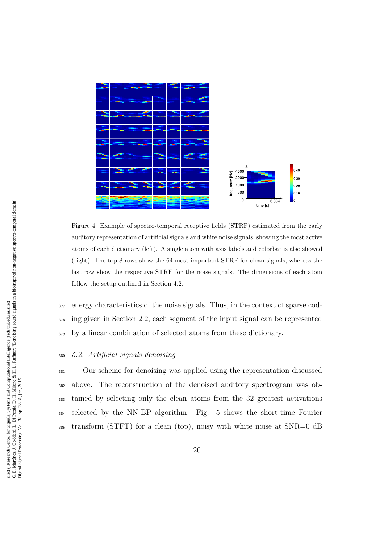

Figure 4: Example of spectro-temporal receptive fields (STRF) estimated from the early auditory representation of artificial signals and white noise signals, showing the most active atoms of each dictionary (left). A single atom with axis labels and colorbar is also showed (right). The top 8 rows show the 64 most important STRF for clean signals, whereas the last row show the respective STRF for the noise signals. The dimensions of each atom follow the setup outlined in Section 4.2.

<sup>377</sup> energy characteristics of the noise signals. Thus, in the context of sparse cod-<sup>378</sup> ing given in Section 2.2, each segment of the input signal can be represented <sup>379</sup> by a linear combination of selected atoms from these dictionary.

#### <sup>380</sup> 5.2. Artificial signals denoising

 Our scheme for denoising was applied using the representation discussed above. The reconstruction of the denoised auditory spectrogram was ob- tained by selecting only the clean atoms from the 32 greatest activations selected by the NN-BP algorithm. Fig. 5 shows the short-time Fourier transform (STFT) for a clean (top), noisy with white noise at SNR=0 dB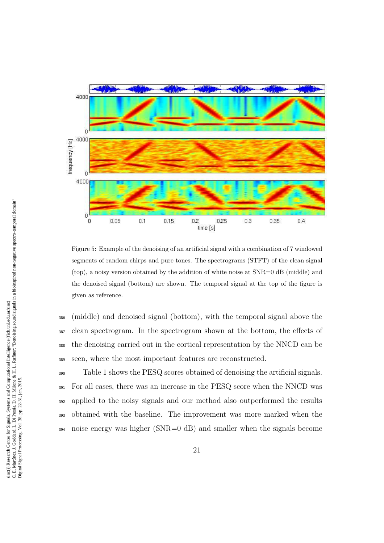

Figure 5: Example of the denoising of an artificial signal with a combination of 7 windowed segments of random chirps and pure tones. The spectrograms (STFT) of the clean signal (top), a noisy version obtained by the addition of white noise at SNR=0 dB (middle) and the denoised signal (bottom) are shown. The temporal signal at the top of the figure is given as reference.

 (middle) and denoised signal (bottom), with the temporal signal above the clean spectrogram. In the spectrogram shown at the bottom, the effects of the denoising carried out in the cortical representation by the NNCD can be seen, where the most important features are reconstructed.

 Table 1 shows the PESQ scores obtained of denoising the artificial signals. For all cases, there was an increase in the PESQ score when the NNCD was applied to the noisy signals and our method also outperformed the results obtained with the baseline. The improvement was more marked when the noise energy was higher (SNR=0 dB) and smaller when the signals become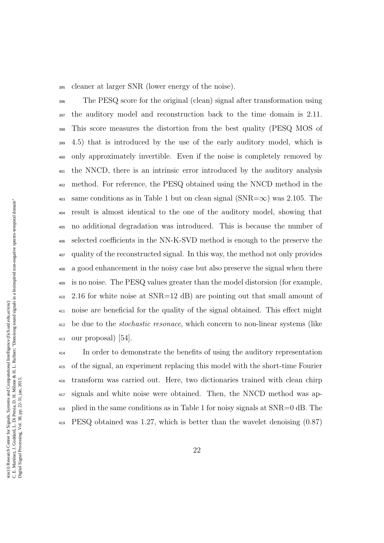cleaner at larger SNR (lower energy of the noise).

 The PESQ score for the original (clean) signal after transformation using the auditory model and reconstruction back to the time domain is 2.11. This score measures the distortion from the best quality (PESQ MOS of 4.5) that is introduced by the use of the early auditory model, which is only approximately invertible. Even if the noise is completely removed by the NNCD, there is an intrinsic error introduced by the auditory analysis method. For reference, the PESQ obtained using the NNCD method in the 403 same conditions as in Table 1 but on clean signal (SNR= $\infty$ ) was 2.105. The result is almost identical to the one of the auditory model, showing that no additional degradation was introduced. This is because the number of selected coefficients in the NN-K-SVD method is enough to the preserve the quality of the reconstructed signal. In this way, the method not only provides a good enhancement in the noisy case but also preserve the signal when there is no noise. The PESQ values greater than the model distorsion (for example, 2.16 for white noise at SNR=12 dB) are pointing out that small amount of noise are beneficial for the quality of the signal obtained. This effect might <sup>412</sup> be due to the *stochastic resonace*, which concern to non-linear systems (like our proposal) [54].

 In order to demonstrate the benefits of using the auditory representation of the signal, an experiment replacing this model with the short-time Fourier transform was carried out. Here, two dictionaries trained with clean chirp signals and white noise were obtained. Then, the NNCD method was ap- plied in the same conditions as in Table 1 for noisy signals at SNR=0 dB. The PESQ obtained was 1.27, which is better than the wavelet denoising (0.87)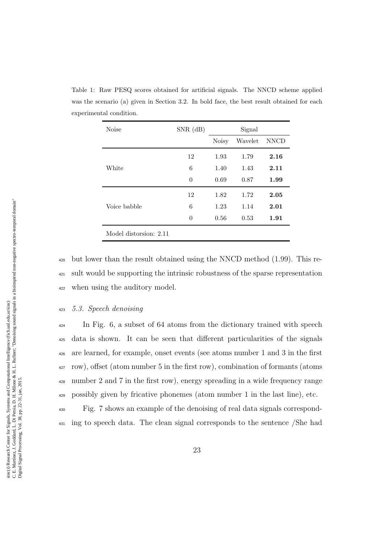| Noise                  | $SNR$ (dB) | Signal       |         |             |
|------------------------|------------|--------------|---------|-------------|
|                        |            | <b>Noisy</b> | Wavelet | <b>NNCD</b> |
|                        | 12         | 1.93         | 1.79    | 2.16        |
| White                  | 6          | 1.40         | 1.43    | 2.11        |
|                        | $\theta$   | 0.69         | 0.87    | 1.99        |
|                        | 12         | 1.82         | 1.72    | 2.05        |
| Voice babble           | 6          | 1.23         | 1.14    | 2.01        |
|                        | $\theta$   | 0.56         | 0.53    | 1.91        |
| Model distorsion: 2.11 |            |              |         |             |

Table 1: Raw PESQ scores obtained for artificial signals. The NNCD scheme applied was the scenario (a) given in Section 3.2. In bold face, the best result obtained for each experimental condition.

<sup>420</sup> but lower than the result obtained using the NNCD method (1.99). This re-<sup>421</sup> sult would be supporting the intrinsic robustness of the sparse representation <sup>422</sup> when using the auditory model.

#### <sup>423</sup> 5.3. Speech denoising

<sup>424</sup> In Fig. 6, a subset of 64 atoms from the dictionary trained with speech data is shown. It can be seen that different particularities of the signals are learned, for example, onset events (see atoms number 1 and 3 in the first row), offset (atom number 5 in the first row), combination of formants (atoms number 2 and 7 in the first row), energy spreading in a wide frequency range possibly given by fricative phonemes (atom number 1 in the last line), etc.

<sup>430</sup> Fig. 7 shows an example of the denoising of real data signals correspond-<sup>431</sup> ing to speech data. The clean signal corresponds to the sentence /She had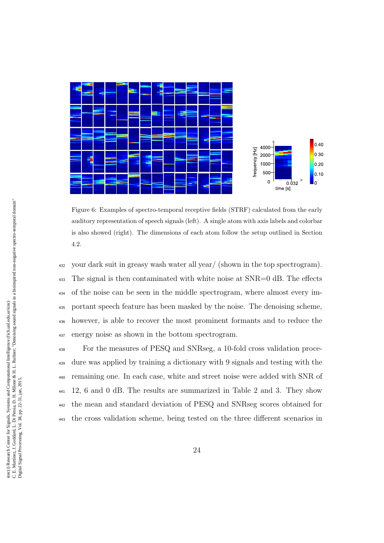

Figure 6: Examples of spectro-temporal receptive fields (STRF) calculated from the early auditory representation of speech signals (left). A single atom with axis labels and colorbar is also showed (right). The dimensions of each atom follow the setup outlined in Section 4.2.

 your dark suit in greasy wash water all year/ (shown in the top spectrogram). The signal is then contaminated with white noise at SNR=0 dB. The effects of the noise can be seen in the middle spectrogram, where almost every im- portant speech feature has been masked by the noise. The denoising scheme, however, is able to recover the most prominent formants and to reduce the energy noise as shown in the bottom spectrogram.

 For the measures of PESQ and SNRseg, a 10-fold cross validation proce- dure was applied by training a dictionary with 9 signals and testing with the remaining one. In each case, white and street noise were added with SNR of 12, 6 and 0 dB. The results are summarized in Table 2 and 3. They show the mean and standard deviation of PESQ and SNRseg scores obtained for the cross validation scheme, being tested on the three different scenarios in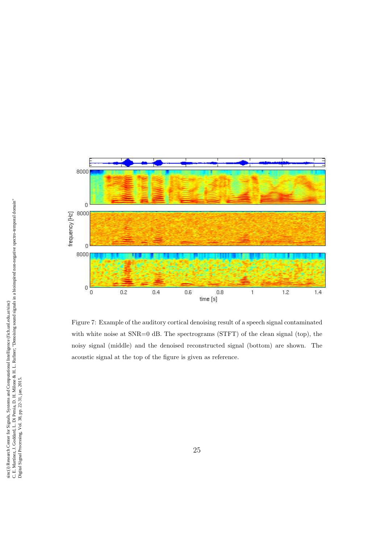

Figure 7: Example of the auditory cortical denoising result of a speech signal contaminated with white noise at SNR=0 dB. The spectrograms (STFT) of the clean signal (top), the noisy signal (middle) and the denoised reconstructed signal (bottom) are shown. The acoustic signal at the top of the figure is given as reference.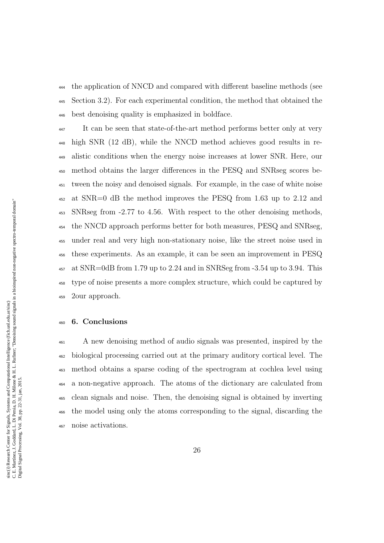the application of NNCD and compared with different baseline methods (see Section 3.2). For each experimental condition, the method that obtained the best denoising quality is emphasized in boldface.

 It can be seen that state-of-the-art method performs better only at very high SNR (12 dB), while the NNCD method achieves good results in re- alistic conditions when the energy noise increases at lower SNR. Here, our method obtains the larger differences in the PESQ and SNRseg scores be- tween the noisy and denoised signals. For example, in the case of white noise at SNR=0 dB the method improves the PESQ from 1.63 up to 2.12 and SNRseg from -2.77 to 4.56. With respect to the other denoising methods, the NNCD approach performs better for both measures, PESQ and SNRseg, under real and very high non-stationary noise, like the street noise used in these experiments. As an example, it can be seen an improvement in PESQ at SNR=0dB from 1.79 up to 2.24 and in SNRSeg from  $-3.54$  up to 3.94. This type of noise presents a more complex structure, which could be captured by 2our approach.

# 6. Conclusions

 A new denoising method of audio signals was presented, inspired by the biological processing carried out at the primary auditory cortical level. The method obtains a sparse coding of the spectrogram at cochlea level using a non-negative approach. The atoms of the dictionary are calculated from clean signals and noise. Then, the denoising signal is obtained by inverting the model using only the atoms corresponding to the signal, discarding the noise activations.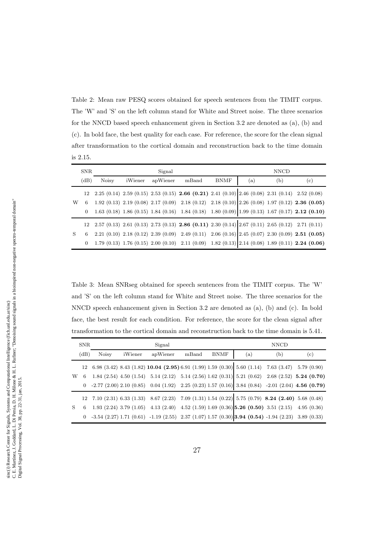Table 2: Mean raw PESQ scores obtained for speech sentences from the TIMIT corpus. The 'W' and 'S' on the left column stand for White and Street noise. The three scenarios for the NNCD based speech enhancement given in Section 3.2 are denoted as (a), (b) and (c). In bold face, the best quality for each case. For reference, the score for the clean signal after transformation to the cortical domain and reconstruction back to the time domain is 2.15.

| <b>SNR</b> |      | Signal       |         |          |                                                                                                                                                          | <b>NNCD</b> |     |     |     |
|------------|------|--------------|---------|----------|----------------------------------------------------------------------------------------------------------------------------------------------------------|-------------|-----|-----|-----|
|            | (dB) | <b>Noisy</b> | iWiener | apWiener | mBand                                                                                                                                                    | <b>BNMF</b> | (a) | (b) | (c) |
|            |      |              |         |          | $12 \quad 2.25 \ (0.14) \ \ 2.59 \ (0.15) \ \ 2.53 \ (0.15) \ \ 2.66 \ (0.21) \ \ 2.41 \ (0.10) \ \ 2.46 \ (0.08) \ \ 2.31 \ (0.14) \quad 2.52 \ (0.08)$ |             |     |     |     |
| W          | 6    |              |         |          | $1.92$ (0.13) $2.19$ (0.08) $2.17$ (0.09) $2.18$ (0.12) $2.18$ (0.10) $2.26$ (0.08) $1.97$ (0.12) $2.36$ (0.05)                                          |             |     |     |     |
|            |      |              |         |          | 1.63 (0.18) 1.86 (0.15) 1.84 (0.16) 1.84 (0.18) 1.80 (0.09) 1.99 (0.13) 1.67 (0.17) 2.12 (0.10)                                                          |             |     |     |     |
| S          |      |              |         |          | $12 \quad 2.57 \ (0.13) \ \ 2.61 \ (0.13) \ \ 2.73 \ (0.13) \ \ 2.86 \ \ (0.11) \ \ 2.30 \ (0.14) \ \ 2.67 \ (0.11) \ \ 2.65 \ (0.12) \ \ 2.71 \ (0.11)$ |             |     |     |     |
|            | 6    |              |         |          | $2.21$ (0.10) $2.18$ (0.12) $2.39$ (0.09) $2.49$ (0.11) $2.06$ (0.16) $2.45$ (0.07) $2.30$ (0.09) $2.51$ (0.05)                                          |             |     |     |     |
|            |      |              |         |          | 0 1.79 (0.13) 1.76 (0.15) 2.00 (0.10) 2.11 (0.09) 1.82 (0.13) 2.14 (0.08) 1.89 (0.11) 2.24 (0.06)                                                        |             |     |     |     |

Table 3: Mean SNRseg obtained for speech sentences from the TIMIT corpus. The 'W' and 'S' on the left column stand for White and Street noise. The three scenarios for the NNCD speech enhancement given in Section 3.2 are denoted as (a), (b) and (c). In bold face, the best result for each condition. For reference, the score for the clean signal after transformation to the cortical domain and reconstruction back to the time domain is 5.41.

|         | <b>SNR</b> |       | Signal  |                                                                                                                                                            |       |      | <b>NNCD</b> |     |     |  |
|---------|------------|-------|---------|------------------------------------------------------------------------------------------------------------------------------------------------------------|-------|------|-------------|-----|-----|--|
|         | (dB)       | Noisy | iWiener | apWiener                                                                                                                                                   | mBand | BNMF | (a)         | (b) | (c) |  |
| W       |            |       |         | $12 \quad 6.98 \ (3.42) \ 8.43 \ (1.82) \ \textbf{10.04} \ (2.95) \ 6.91 \ (1.99) \ 1.59 \ (0.30) \ 5.60 \ (1.14) \quad 7.63 \ (3.47) \quad 5.79 \ (0.90)$ |       |      |             |     |     |  |
|         |            |       |         | 6 1.84 (2.54) 4.50 (1.54) 5.14 (2.12) 5.14 (2.56) 1.62 (0.31) 5.21 (0.62) 2.68 (2.52) 5.24 (0.70)                                                          |       |      |             |     |     |  |
|         |            |       |         | 0 -2.77 (2.00) 2.10 (0.85) 0.04 (1.92) 2.25 (0.23) 1.57 (0.16) 3.84 (0.84) -2.01 (2.04) 4.56 (0.79)                                                        |       |      |             |     |     |  |
| $S_{-}$ |            |       |         | $12 \quad 7.10 \ (2.31) \ 6.33 \ (1.33) \quad 8.67 \ (2.23) \quad 7.09 \ (1.31) \ 1.54 \ (0.22) \quad 5.75 \ (0.79) \ \ 8.24 \ (2.40) \ \ 5.68 \ (0.48)$   |       |      |             |     |     |  |
|         |            |       |         | 6 1.93 (2.24) 3.79 (1.05) 4.13 (2.40) 4.52 (1.59) 1.69 (0.36) 5.26 (0.50) 3.51 (2.15) 4.95 (0.36)                                                          |       |      |             |     |     |  |
|         |            |       |         | $0\quad \  -3.54\ (2.27)\ 1.71\ (0.61)\quad \  -1.19\ (2.55)\quad \  2.37\ (1.07)\ 1.57\ (0.30)\ \  \, 3.94\ (0.54)\ \ -1.94\ (2.23)\quad \  3.89\ (0.33)$ |       |      |             |     |     |  |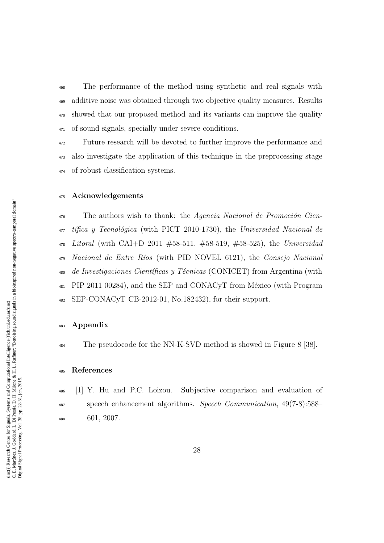The performance of the method using synthetic and real signals with additive noise was obtained through two objective quality measures. Results showed that our proposed method and its variants can improve the quality of sound signals, specially under severe conditions.

 Future research will be devoted to further improve the performance and also investigate the application of this technique in the preprocessing stage of robust classification systems.

# Acknowledgements

 The authors wish to thank: the Agencia Nacional de Promoción Cien- $\mu_{\overline{q}}$  tifica y Tecnológica (with PICT 2010-1730), the Universidad Nacional de Litoral (with CAI+D 2011 #58-511, #58-519, #58-525), the Universidad Nacional de Entre Ríos (with PID NOVEL 6121), the Consejo Nacional 480 de Investigaciones Científicas y Técnicas (CONICET) from Argentina (with <sup>481</sup> PIP 2011 00284), and the SEP and CONACyT from México (with Program SEP-CONACyT CB-2012-01, No.182432), for their support.

#### Appendix

<sup>484</sup> The pseudocode for the NN-K-SVD method is showed in Figure 8 [38].

# References

 [1] Y. Hu and P.C. Loizou. Subjective comparison and evaluation of speech enhancement algorithms. Speech Communication, 49(7-8):588– 601, 2007.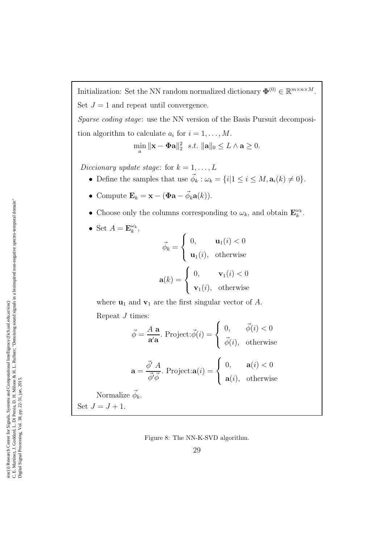Initialization: Set the NN random normalized dictionary  $\mathbf{\Phi}^{(0)} \in \mathbb{R}^{m \times n \times M}$ . Set  $J = 1$  and repeat until convergence.

Sparse coding stage: use the NN version of the Basis Pursuit decomposition algorithm to calculate  $a_i$  for  $i = 1, \ldots, M$ .

$$
\min_{a} \|\mathbf{x} - \mathbf{\Phi}\mathbf{a}\|_{2}^{2} \ \ s.t. \ \|\mathbf{a}\|_{0} \leq L \wedge \mathbf{a} \geq 0.
$$

Diccionary update stage: for  $k = 1, ..., L$ 

- Define the samples that use  $\vec{\phi}_k : \omega_k = \{i | 1 \leq i \leq M, \mathbf{a}_i(k) \neq 0\}.$
- Compute  $\mathbf{E}_k = \mathbf{x} (\boldsymbol{\Phi} \mathbf{a} \vec{\phi}_k \mathbf{a}(k)).$
- Choose only the columns corresponding to  $\omega_k$ , and obtain  $\mathbf{E}_k^{\omega_k}$  $\frac{\omega_k}{k}$  .
- Set  $A = \mathbf{E}_k^{\omega_k}$  $_{k}^{\omega _{k}}$  ,

$$
\vec{\phi}_k = \begin{cases} 0, & \mathbf{u}_1(i) < 0 \\ \mathbf{u}_1(i), & \text{otherwise} \end{cases}
$$

$$
\mathbf{a}(k) = \begin{cases} 0, & \mathbf{v}_1(i) < 0 \\ \mathbf{v}_1(i), & \text{otherwise} \end{cases}
$$

where  $\mathbf{u}_1$  and  $\mathbf{v}_1$  are the first singular vector of A.

Repeat J times:

$$
\vec{\phi} = \frac{A \mathbf{a}}{\mathbf{a}' \mathbf{a}}. \text{ Project: } \vec{\phi}(i) = \begin{cases} 0, & \vec{\phi}(i) < 0 \\ \vec{\phi}(i), & \text{otherwise} \end{cases}
$$

$$
\mathbf{a} = \frac{\vec{\phi}' A}{\vec{\phi}' \vec{\phi}}. \text{ Project:} \mathbf{a}(i) = \begin{cases} 0, & \mathbf{a}(i) < 0 \\ \mathbf{a}(i), & \text{otherwise} \end{cases}
$$

Normalize  $\vec{\phi}_k$ . Set  $J = J + 1$ .

Figure 8: The NN-K-SVD algorithm.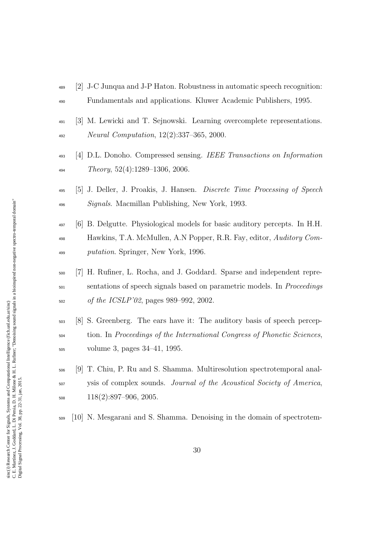- [2] J-C Junqua and J-P Haton. Robustness in automatic speech recognition: Fundamentals and applications. Kluwer Academic Publishers, 1995.
- [3] M. Lewicki and T. Sejnowski. Learning overcomplete representations. *Neural Computation*,  $12(2):337-365$ , 2000.
- [4] D.L. Donoho. Compressed sensing. IEEE Transactions on Information  $Theory, 52(4):1289-1306, 2006.$
- [5] J. Deller, J. Proakis, J. Hansen. Discrete Time Processing of Speech Signals. Macmillan Publishing, New York, 1993.
- [6] B. Delgutte. Physiological models for basic auditory percepts. In H.H. Hawkins, T.A. McMullen, A.N Popper, R.R. Fay, editor, Auditory Com-putation. Springer, New York, 1996.
- [7] H. Rufiner, L. Rocha, and J. Goddard. Sparse and independent repre-<sub>501</sub> sentations of speech signals based on parametric models. In *Proceedings* of the ICSLP'02, pages 989–992, 2002.
- [8] S. Greenberg. The ears have it: The auditory basis of speech percep- tion. In Proceedings of the International Congress of Phonetic Sciences, volume 3, pages 34–41, 1995.
- [9] T. Chiu, P. Ru and S. Shamma. Multiresolution spectrotemporal anal- ysis of complex sounds. Journal of the Acoustical Society of America, 118(2):897-906, 2005.
- [10] N. Mesgarani and S. Shamma. Denoising in the domain of spectrotem-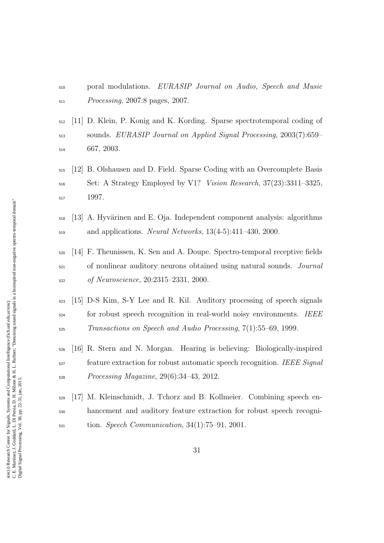- poral modulations. EURASIP Journal on Audio, Speech and Music Processing, 2007:8 pages, 2007.
- [11] D. Klein, P. Konig and K. Kording. Sparse spectrotemporal coding of sounds. EURASIP Journal on Applied Signal Processing, 2003(7):659– 667, 2003.
- [12] B. Olshausen and D. Field. Sparse Coding with an Overcomplete Basis Set: A Strategy Employed by V1? Vision Research, 37(23):3311–3325, 1997.
- $_{518}$  [13] A. Hyvärinen and E. Oja. Independent component analysis: algorithms  $_{519}$  and applications. *Neural Networks*,  $13(4-5)$ : $411-430$ ,  $2000$ .
- [14] F. Theunissen, K. Sen and A. Doupe. Spectro-temporal receptive fields <sub>521</sub> of nonlinear auditory neurons obtained using natural sounds. *Journal* of Neuroscience, 20:2315–2331, 2000.
- [15] D-S Kim, S-Y Lee and R. Kil. Auditory processing of speech signals for robust speech recognition in real-world noisy environments. IEEE Transactions on Speech and Audio Processing, 7(1):55–69, 1999.
- [16] R. Stern and N. Morgan. Hearing is believing: Biologically-inspired <sup>527</sup> feature extraction for robust automatic speech recognition. IEEE Signal Processing Magazine, 29(6):34–43, 2012.
- [17] M. Kleinschmidt, J. Tchorz and B. Kollmeier. Combining speech en- hancement and auditory feature extraction for robust speech recogni- $_{531}$  tion. *Speech Communication*,  $34(1):75-91$ , 2001.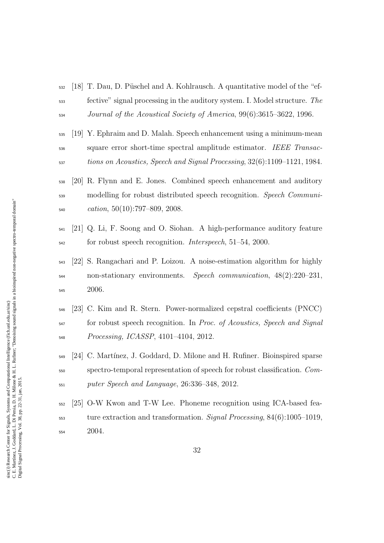- $_{532}$  [18] T. Dau, D. Püschel and A. Kohlrausch. A quantitative model of the "ef- fective" signal processing in the auditory system. I. Model structure. The Journal of the Acoustical Society of America, 99(6):3615–3622, 1996.
- [19] Y. Ephraim and D. Malah. Speech enhancement using a minimum-mean <sub>536</sub> square error short-time spectral amplitude estimator. IEEE Transac-tions on Acoustics, Speech and Signal Processing, 32(6):1109–1121, 1984.
- [20] R. Flynn and E. Jones. Combined speech enhancement and auditory <sub>539</sub> modelling for robust distributed speech recognition. *Speech Communi-* $\text{0}$ <sub>540</sub> cation, 50(10):797–809, 2008.
- [21] Q. Li, F. Soong and O. Siohan. A high-performance auditory feature <sub>542</sub> for robust speech recognition. *Interspeech*, 51–54, 2000.
- [22] S. Rangachari and P. Loizou. A noise-estimation algorithm for highly non-stationary environments. Speech communication, 48(2):220–231, 2006.
- [23] C. Kim and R. Stern. Power-normalized cepstral coefficients (PNCC) <sup>547</sup> for robust speech recognition. In Proc. of Acoustics, Speech and Signal Processing, ICASSP, 4101–4104, 2012.
- [24] C. Mart´ınez, J. Goddard, D. Milone and H. Rufiner. Bioinspired sparse spectro-temporal representation of speech for robust classification. Com-puter Speech and Language, 26:336–348, 2012.
- [25] O-W Kwon and T-W Lee. Phoneme recognition using ICA-based fea- ture extraction and transformation. Signal Processing, 84(6):1005–1019, 2004.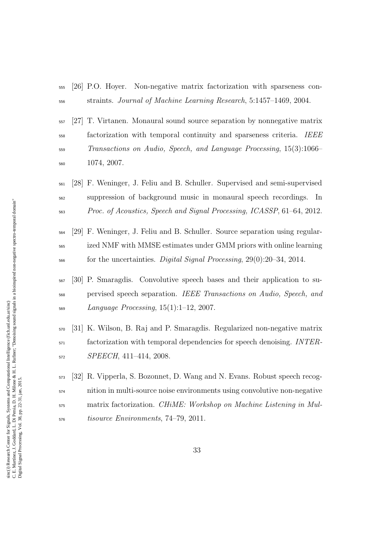- [26] P.O. Hoyer. Non-negative matrix factorization with sparseness con-straints. Journal of Machine Learning Research, 5:1457–1469, 2004.
- [27] T. Virtanen. Monaural sound source separation by nonnegative matrix factorization with temporal continuity and sparseness criteria. IEEE Transactions on Audio, Speech, and Language Processing, 15(3):1066– 1074, 2007.
- [28] F. Weninger, J. Feliu and B. Schuller. Supervised and semi-supervised suppression of background music in monaural speech recordings. In Proc. of Acoustics, Speech and Signal Processing, ICASSP, 61–64, 2012.
- [29] F. Weninger, J. Feliu and B. Schuller. Source separation using regular- ized NMF with MMSE estimates under GMM priors with online learning for the uncertainties. Digital Signal Processing, 29(0):20–34, 2014.
- [30] P. Smaragdis. Convolutive speech bases and their application to su- pervised speech separation. IEEE Transactions on Audio, Speech, and Language Processing, 15(1):1-12, 2007.
- [31] K. Wilson, B. Raj and P. Smaragdis. Regularized non-negative matrix factorization with temporal dependencies for speech denoising. *INTER*-SPEECH, 411–414, 2008.
- [32] R. Vipperla, S. Bozonnet, D. Wang and N. Evans. Robust speech recog- nition in multi-source noise environments using convolutive non-negative matrix factorization. CHiME: Workshop on Machine Listening in Mul-tisource Environments, 74–79, 2011.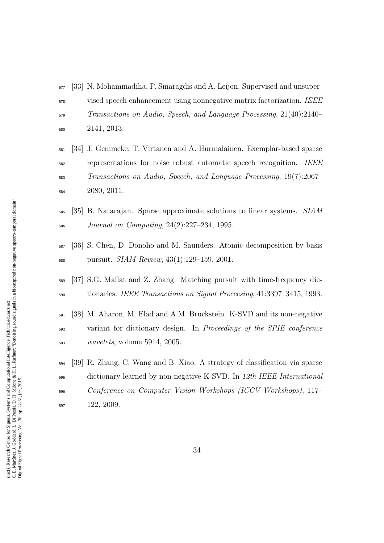- [33] N. Mohammadiha, P. Smaragdis and A. Leijon. Supervised and unsuper- vised speech enhancement using nonnegative matrix factorization. IEEE Transactions on Audio, Speech, and Language Processing, 21(40):2140– 2141, 2013.
- [34] J. Gemmeke, T. Virtanen and A. Hurmalainen. Exemplar-based sparse representations for noise robust automatic speech recognition. IEEE Transactions on Audio, Speech, and Language Processing, 19(7):2067– 2080, 2011.
- <sub>585</sub> [35] B. Natarajan. Sparse approximate solutions to linear systems. SIAM Journal on Computing, 24(2):227–234, 1995.
- [36] S. Chen, D. Donoho and M. Saunders. Atomic decomposition by basis pursuit. SIAM Review, 43(1):129–159, 2001.
- [37] S.G. Mallat and Z. Zhang. Matching pursuit with time-frequency dic-tionaries. IEEE Transactions on Signal Proccesing, 41:3397–3415, 1993.
- [38] M. Aharon, M. Elad and A.M. Bruckstein. K-SVD and its non-negative variant for dictionary design. In Proceedings of the SPIE conference wavelets, volume 5914, 2005.
- [39] R. Zhang, C. Wang and B. Xiao. A strategy of classification via sparse dictionary learned by non-negative K-SVD. In 12th IEEE International Conference on Computer Vision Workshops (ICCV Workshops), 117– 122, 2009.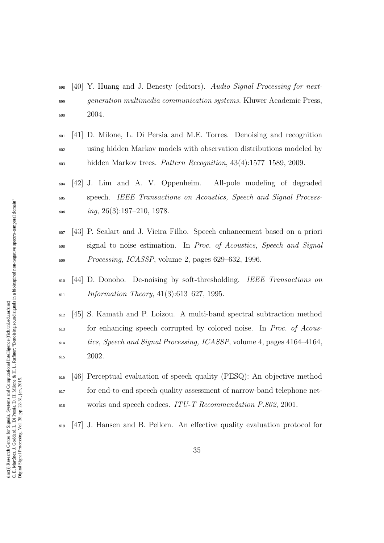- [40] Y. Huang and J. Benesty (editors). Audio Signal Processing for next- generation multimedia communication systems. Kluwer Academic Press, 2004.
- [41] D. Milone, L. Di Persia and M.E. Torres. Denoising and recognition using hidden Markov models with observation distributions modeled by hidden Markov trees. Pattern Recognition, 43(4):1577–1589, 2009.
- [42] J. Lim and A. V. Oppenheim. All-pole modeling of degraded speech. IEEE Transactions on Acoustics, Speech and Signal Process- $\omega_6$  ing, 26(3):197–210, 1978.
- [43] P. Scalart and J. Vieira Filho. Speech enhancement based on a priori signal to noise estimation. In Proc. of Acoustics, Speech and Signal Processing, ICASSP, volume 2, pages 629–632, 1996.
- [44] D. Donoho. De-noising by soft-thresholding. IEEE Transactions on  $_{611}$  Information Theory, 41(3):613–627, 1995.
- [45] S. Kamath and P. Loizou. A multi-band spectral subtraction method for enhancing speech corrupted by colored noise. In Proc. of Acous- tics, Speech and Signal Processing, ICASSP, volume 4, pages 4164–4164, 2002.
- [46] Perceptual evaluation of speech quality (PESQ): An objective method for end-to-end speech quality assessment of narrow-band telephone net-works and speech codecs. ITU-T Recommendation P.862, 2001.
- [47] J. Hansen and B. Pellom. An effective quality evaluation protocol for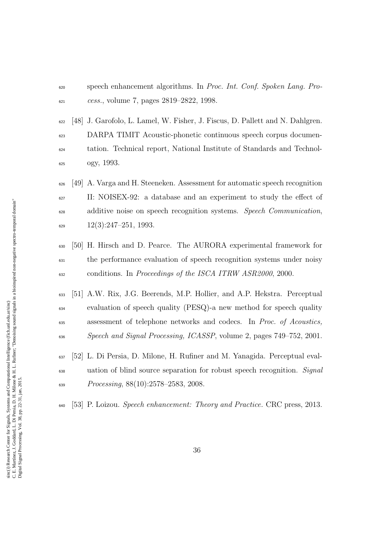- speech enhancement algorithms. In Proc. Int. Conf. Spoken Lang. Pro-cess., volume 7, pages 2819–2822, 1998.
- [48] J. Garofolo, L. Lamel, W. Fisher, J. Fiscus, D. Pallett and N. Dahlgren. DARPA TIMIT Acoustic-phonetic continuous speech corpus documen- tation. Technical report, National Institute of Standards and Technol-ogy, 1993.
- [49] A. Varga and H. Steeneken. Assessment for automatic speech recognition II: NOISEX-92: a database and an experiment to study the effect of <sup>628</sup> additive noise on speech recognition systems. *Speech Communication*,  $\frac{629}{22}$  12(3):247-251, 1993.
- [50] H. Hirsch and D. Pearce. The AURORA experimental framework for the performance evaluation of speech recognition systems under noisy conditions. In Proceedings of the ISCA ITRW ASR2000, 2000.
- [51] A.W. Rix, J.G. Beerends, M.P. Hollier, and A.P. Hekstra. Perceptual evaluation of speech quality (PESQ)-a new method for speech quality assessment of telephone networks and codecs. In Proc. of Acoustics, Speech and Signal Processing, ICASSP, volume 2, pages 749–752, 2001.
- [52] L. Di Persia, D. Milone, H. Rufiner and M. Yanagida. Perceptual eval- uation of blind source separation for robust speech recognition. Signal Processing, 88(10):2578–2583, 2008.
- $\frac{640}{53}$  P. Loizou. Speech enhancement: Theory and Practice. CRC press, 2013.